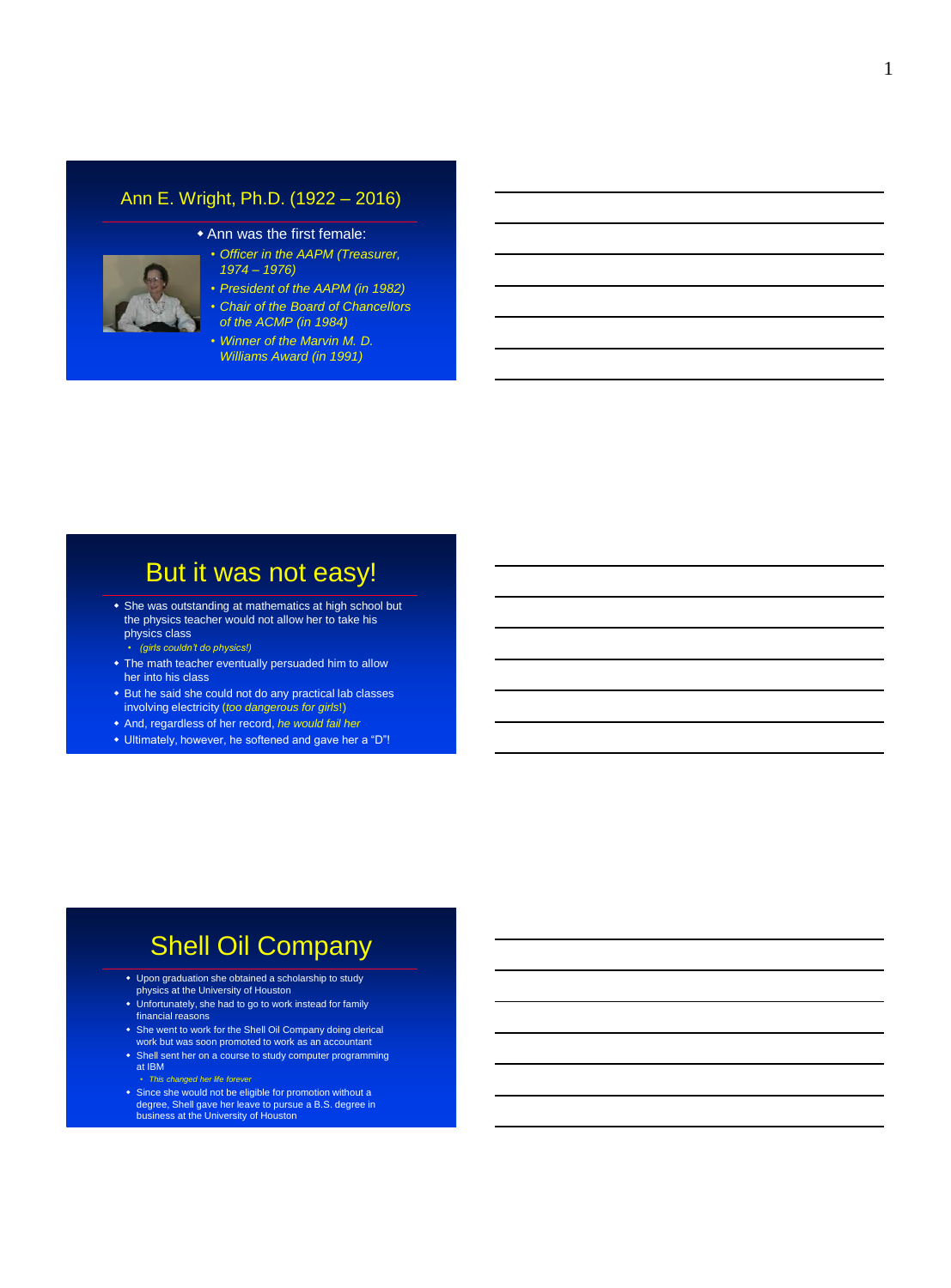#### Ann E. Wright, Ph.D. (1922 – 2016)



- Ann was the first female:
	- *Officer in the AAPM (Treasurer, 1974 – 1976)*
	- *President of the AAPM (in 1982)*
	- *Chair of the Board of Chancellors of the ACMP (in 1984)*
	- *Winner of the Marvin M. D. Williams Award (in 1991)*

## But it was not easy!

- She was outstanding at mathematics at high school but the physics teacher would not allow her to take his physics class
	- *(girls couldn't do physics!)*
- The math teacher eventually persuaded him to allow her into his class
- But he said she could not do any practical lab classes involving electricity (*too dangerous for girls*!)
- And, regardless of her record, *he would fail her*
- Ultimately, however, he softened and gave her a "D"!

## Shell Oil Company

- Upon graduation she obtained a scholarship to study physics at the University of Houston
- Unfortunately, she had to go to work instead for family financial reasons
- She went to work for the Shell Oil Company doing clerical work but was soon promoted to work as an accountant
- Shell sent her on a course to study computer programming at IBM
- *This changed her life forever* Since she would not be eligible for promotion without a degree, Shell gave her leave to pursue a B.S. degree in business at the University of Houston